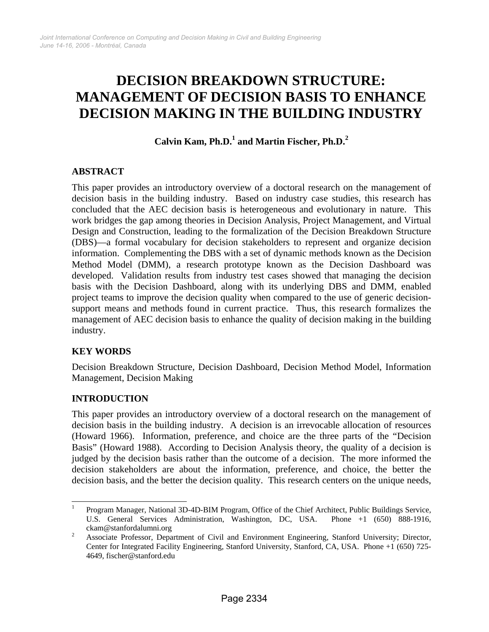# **DECISION BREAKDOWN STRUCTURE: MANAGEMENT OF DECISION BASIS TO ENHANCE DECISION MAKING IN THE BUILDING INDUSTRY**

Calvin Kam, Ph.D.<sup>1</sup> and Martin Fischer, Ph.D.<sup>2</sup>

# **ABSTRACT**

This paper provides an introductory overview of a doctoral research on the management of decision basis in the building industry. Based on industry case studies, this research has concluded that the AEC decision basis is heterogeneous and evolutionary in nature. This work bridges the gap among theories in Decision Analysis, Project Management, and Virtual Design and Construction, leading to the formalization of the Decision Breakdown Structure (DBS)—a formal vocabulary for decision stakeholders to represent and organize decision information. Complementing the DBS with a set of dynamic methods known as the Decision Method Model (DMM), a research prototype known as the Decision Dashboard was developed. Validation results from industry test cases showed that managing the decision basis with the Decision Dashboard, along with its underlying DBS and DMM, enabled project teams to improve the decision quality when compared to the use of generic decisionsupport means and methods found in current practice. Thus, this research formalizes the management of AEC decision basis to enhance the quality of decision making in the building industry.

# **KEY WORDS**

Decision Breakdown Structure, Decision Dashboard, Decision Method Model, Information Management, Decision Making

# **INTRODUCTION**

This paper provides an introductory overview of a doctoral research on the management of decision basis in the building industry. A decision is an irrevocable allocation of resources (Howard 1966). Information, preference, and choice are the three parts of the "Decision Basis" (Howard 1988). According to Decision Analysis theory, the quality of a decision is judged by the decision basis rather than the outcome of a decision. The more informed the decision stakeholders are about the information, preference, and choice, the better the decision basis, and the better the decision quality. This research centers on the unique needs,

<sup>|&</sup>lt;br>|<br>| Program Manager, National 3D-4D-BIM Program, Office of the Chief Architect, Public Buildings Service, U.S. General Services Administration, Washington, DC, USA. Phone +1 (650) 888-1916,  $\alpha$ ckam@stanfordalumni.org

Associate Professor, Department of Civil and Environment Engineering, Stanford University; Director, Center for Integrated Facility Engineering, Stanford University, Stanford, CA, USA. Phone +1 (650) 725- 4649, fischer@stanford.edu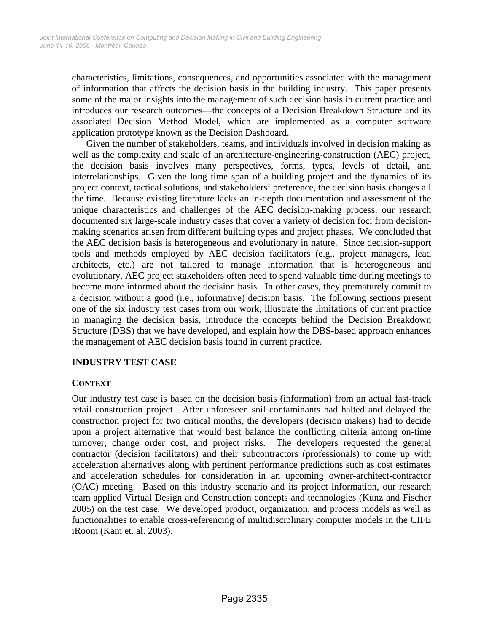characteristics, limitations, consequences, and opportunities associated with the management of information that affects the decision basis in the building industry. This paper presents some of the major insights into the management of such decision basis in current practice and introduces our research outcomes—the concepts of a Decision Breakdown Structure and its associated Decision Method Model, which are implemented as a computer software application prototype known as the Decision Dashboard.

Given the number of stakeholders, teams, and individuals involved in decision making as well as the complexity and scale of an architecture-engineering-construction (AEC) project, the decision basis involves many perspectives, forms, types, levels of detail, and interrelationships. Given the long time span of a building project and the dynamics of its project context, tactical solutions, and stakeholders' preference, the decision basis changes all the time. Because existing literature lacks an in-depth documentation and assessment of the unique characteristics and challenges of the AEC decision-making process, our research documented six large-scale industry cases that cover a variety of decision foci from decisionmaking scenarios arisen from different building types and project phases. We concluded that the AEC decision basis is heterogeneous and evolutionary in nature. Since decision-support tools and methods employed by AEC decision facilitators (e.g., project managers, lead architects, etc.) are not tailored to manage information that is heterogeneous and evolutionary, AEC project stakeholders often need to spend valuable time during meetings to become more informed about the decision basis. In other cases, they prematurely commit to a decision without a good (i.e., informative) decision basis. The following sections present one of the six industry test cases from our work, illustrate the limitations of current practice in managing the decision basis, introduce the concepts behind the Decision Breakdown Structure (DBS) that we have developed, and explain how the DBS-based approach enhances the management of AEC decision basis found in current practice.

# **INDUSTRY TEST CASE**

# **CONTEXT**

Our industry test case is based on the decision basis (information) from an actual fast-track retail construction project. After unforeseen soil contaminants had halted and delayed the construction project for two critical months, the developers (decision makers) had to decide upon a project alternative that would best balance the conflicting criteria among on-time turnover, change order cost, and project risks. The developers requested the general contractor (decision facilitators) and their subcontractors (professionals) to come up with acceleration alternatives along with pertinent performance predictions such as cost estimates and acceleration schedules for consideration in an upcoming owner-architect-contractor (OAC) meeting. Based on this industry scenario and its project information, our research team applied Virtual Design and Construction concepts and technologies (Kunz and Fischer 2005) on the test case. We developed product, organization, and process models as well as functionalities to enable cross-referencing of multidisciplinary computer models in the CIFE iRoom (Kam et. al. 2003).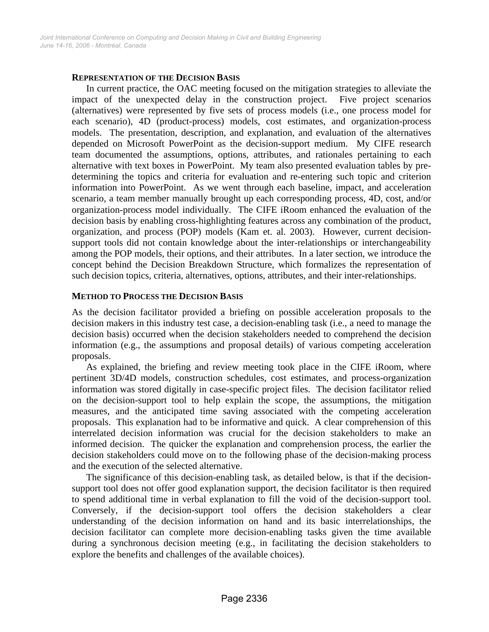#### **REPRESENTATION OF THE DECISION BASIS**

In current practice, the OAC meeting focused on the mitigation strategies to alleviate the impact of the unexpected delay in the construction project. Five project scenarios (alternatives) were represented by five sets of process models (i.e., one process model for each scenario), 4D (product-process) models, cost estimates, and organization-process models. The presentation, description, and explanation, and evaluation of the alternatives depended on Microsoft PowerPoint as the decision-support medium. My CIFE research team documented the assumptions, options, attributes, and rationales pertaining to each alternative with text boxes in PowerPoint. My team also presented evaluation tables by predetermining the topics and criteria for evaluation and re-entering such topic and criterion information into PowerPoint. As we went through each baseline, impact, and acceleration scenario, a team member manually brought up each corresponding process, 4D, cost, and/or organization-process model individually. The CIFE iRoom enhanced the evaluation of the decision basis by enabling cross-highlighting features across any combination of the product, organization, and process (POP) models (Kam et. al. 2003). However, current decisionsupport tools did not contain knowledge about the inter-relationships or interchangeability among the POP models, their options, and their attributes. In a later section, we introduce the concept behind the Decision Breakdown Structure, which formalizes the representation of such decision topics, criteria, alternatives, options, attributes, and their inter-relationships.

### **METHOD TO PROCESS THE DECISION BASIS**

As the decision facilitator provided a briefing on possible acceleration proposals to the decision makers in this industry test case, a decision-enabling task (i.e., a need to manage the decision basis) occurred when the decision stakeholders needed to comprehend the decision information (e.g., the assumptions and proposal details) of various competing acceleration proposals.

As explained, the briefing and review meeting took place in the CIFE iRoom, where pertinent 3D/4D models, construction schedules, cost estimates, and process-organization information was stored digitally in case-specific project files. The decision facilitator relied on the decision-support tool to help explain the scope, the assumptions, the mitigation measures, and the anticipated time saving associated with the competing acceleration proposals. This explanation had to be informative and quick. A clear comprehension of this interrelated decision information was crucial for the decision stakeholders to make an informed decision. The quicker the explanation and comprehension process, the earlier the decision stakeholders could move on to the following phase of the decision-making process and the execution of the selected alternative.

The significance of this decision-enabling task, as detailed below, is that if the decisionsupport tool does not offer good explanation support, the decision facilitator is then required to spend additional time in verbal explanation to fill the void of the decision-support tool. Conversely, if the decision-support tool offers the decision stakeholders a clear understanding of the decision information on hand and its basic interrelationships, the decision facilitator can complete more decision-enabling tasks given the time available during a synchronous decision meeting (e.g., in facilitating the decision stakeholders to explore the benefits and challenges of the available choices).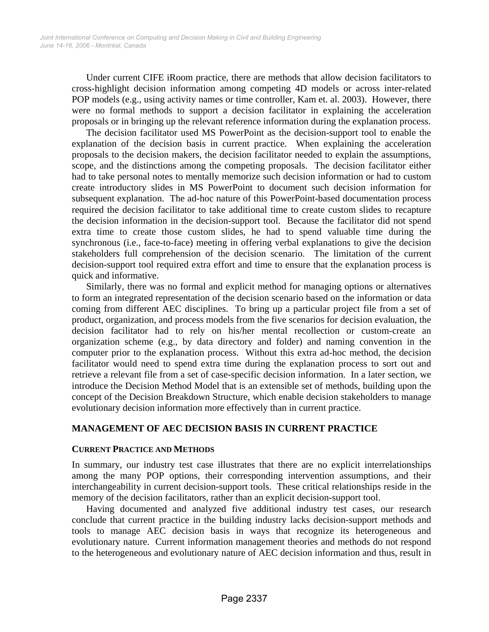Under current CIFE iRoom practice, there are methods that allow decision facilitators to cross-highlight decision information among competing 4D models or across inter-related POP models (e.g., using activity names or time controller, Kam et. al. 2003). However, there were no formal methods to support a decision facilitator in explaining the acceleration proposals or in bringing up the relevant reference information during the explanation process.

The decision facilitator used MS PowerPoint as the decision-support tool to enable the explanation of the decision basis in current practice. When explaining the acceleration proposals to the decision makers, the decision facilitator needed to explain the assumptions, scope, and the distinctions among the competing proposals. The decision facilitator either had to take personal notes to mentally memorize such decision information or had to custom create introductory slides in MS PowerPoint to document such decision information for subsequent explanation. The ad-hoc nature of this PowerPoint-based documentation process required the decision facilitator to take additional time to create custom slides to recapture the decision information in the decision-support tool. Because the facilitator did not spend extra time to create those custom slides, he had to spend valuable time during the synchronous (i.e., face-to-face) meeting in offering verbal explanations to give the decision stakeholders full comprehension of the decision scenario. The limitation of the current decision-support tool required extra effort and time to ensure that the explanation process is quick and informative.

Similarly, there was no formal and explicit method for managing options or alternatives to form an integrated representation of the decision scenario based on the information or data coming from different AEC disciplines. To bring up a particular project file from a set of product, organization, and process models from the five scenarios for decision evaluation, the decision facilitator had to rely on his/her mental recollection or custom-create an organization scheme (e.g., by data directory and folder) and naming convention in the computer prior to the explanation process. Without this extra ad-hoc method, the decision facilitator would need to spend extra time during the explanation process to sort out and retrieve a relevant file from a set of case-specific decision information. In a later section, we introduce the Decision Method Model that is an extensible set of methods, building upon the concept of the Decision Breakdown Structure, which enable decision stakeholders to manage evolutionary decision information more effectively than in current practice.

# **MANAGEMENT OF AEC DECISION BASIS IN CURRENT PRACTICE**

### **CURRENT PRACTICE AND METHODS**

In summary, our industry test case illustrates that there are no explicit interrelationships among the many POP options, their corresponding intervention assumptions, and their interchangeability in current decision-support tools. These critical relationships reside in the memory of the decision facilitators, rather than an explicit decision-support tool.

Having documented and analyzed five additional industry test cases, our research conclude that current practice in the building industry lacks decision-support methods and tools to manage AEC decision basis in ways that recognize its heterogeneous and evolutionary nature. Current information management theories and methods do not respond to the heterogeneous and evolutionary nature of AEC decision information and thus, result in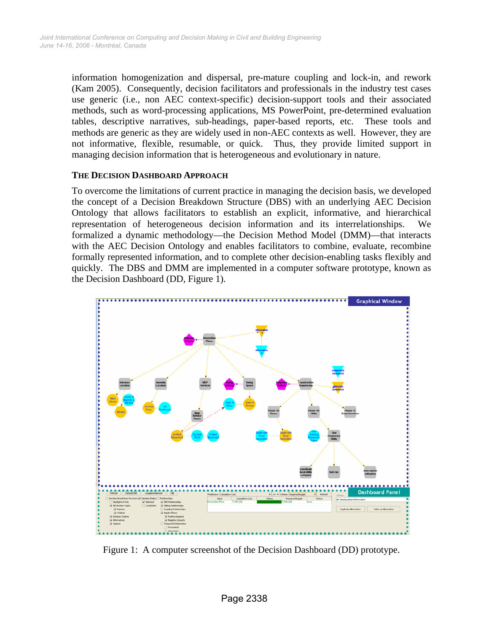information homogenization and dispersal, pre-mature coupling and lock-in, and rework (Kam 2005). Consequently, decision facilitators and professionals in the industry test cases use generic (i.e., non AEC context-specific) decision-support tools and their associated methods, such as word-processing applications, MS PowerPoint, pre-determined evaluation tables, descriptive narratives, sub-headings, paper-based reports, etc. These tools and methods are generic as they are widely used in non-AEC contexts as well. However, they are not informative, flexible, resumable, or quick. Thus, they provide limited support in managing decision information that is heterogeneous and evolutionary in nature.

## **THE DECISION DASHBOARD APPROACH**

To overcome the limitations of current practice in managing the decision basis, we developed the concept of a Decision Breakdown Structure (DBS) with an underlying AEC Decision Ontology that allows facilitators to establish an explicit, informative, and hierarchical representation of heterogeneous decision information and its interrelationships. We formalized a dynamic methodology—the Decision Method Model (DMM)—that interacts with the AEC Decision Ontology and enables facilitators to combine, evaluate, recombine formally represented information, and to complete other decision-enabling tasks flexibly and quickly. The DBS and DMM are implemented in a computer software prototype, known as the Decision Dashboard (DD, Figure 1).



Figure 1: A computer screenshot of the Decision Dashboard (DD) prototype.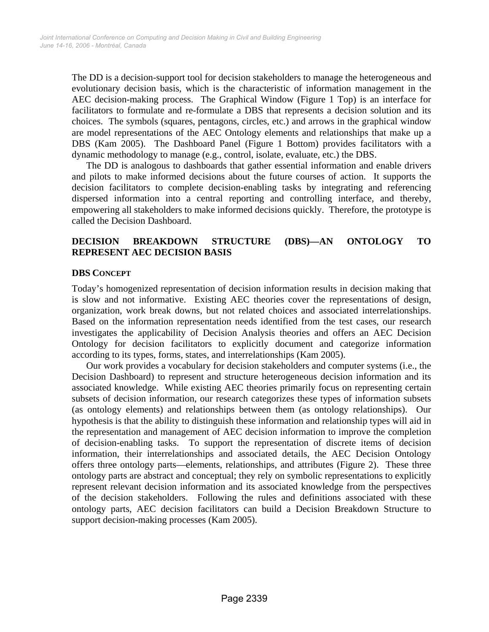The DD is a decision-support tool for decision stakeholders to manage the heterogeneous and evolutionary decision basis, which is the characteristic of information management in the AEC decision-making process. The Graphical Window (Figure 1 Top) is an interface for facilitators to formulate and re-formulate a DBS that represents a decision solution and its choices. The symbols (squares, pentagons, circles, etc.) and arrows in the graphical window are model representations of the AEC Ontology elements and relationships that make up a DBS (Kam 2005). The Dashboard Panel (Figure 1 Bottom) provides facilitators with a dynamic methodology to manage (e.g., control, isolate, evaluate, etc.) the DBS.

The DD is analogous to dashboards that gather essential information and enable drivers and pilots to make informed decisions about the future courses of action. It supports the decision facilitators to complete decision-enabling tasks by integrating and referencing dispersed information into a central reporting and controlling interface, and thereby, empowering all stakeholders to make informed decisions quickly. Therefore, the prototype is called the Decision Dashboard.

# **DECISION BREAKDOWN STRUCTURE (DBS)—AN ONTOLOGY TO REPRESENT AEC DECISION BASIS**

## **DBS CONCEPT**

Today's homogenized representation of decision information results in decision making that is slow and not informative. Existing AEC theories cover the representations of design, organization, work break downs, but not related choices and associated interrelationships. Based on the information representation needs identified from the test cases, our research investigates the applicability of Decision Analysis theories and offers an AEC Decision Ontology for decision facilitators to explicitly document and categorize information according to its types, forms, states, and interrelationships (Kam 2005).

Our work provides a vocabulary for decision stakeholders and computer systems (i.e., the Decision Dashboard) to represent and structure heterogeneous decision information and its associated knowledge. While existing AEC theories primarily focus on representing certain subsets of decision information, our research categorizes these types of information subsets (as ontology elements) and relationships between them (as ontology relationships). Our hypothesis is that the ability to distinguish these information and relationship types will aid in the representation and management of AEC decision information to improve the completion of decision-enabling tasks. To support the representation of discrete items of decision information, their interrelationships and associated details, the AEC Decision Ontology offers three ontology parts—elements, relationships, and attributes (Figure 2). These three ontology parts are abstract and conceptual; they rely on symbolic representations to explicitly represent relevant decision information and its associated knowledge from the perspectives of the decision stakeholders. Following the rules and definitions associated with these ontology parts, AEC decision facilitators can build a Decision Breakdown Structure to support decision-making processes (Kam 2005).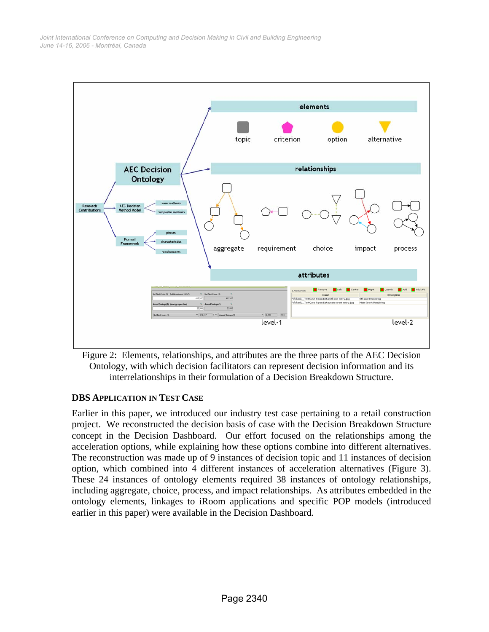

Figure 2: Elements, relationships, and attributes are the three parts of the AEC Decision Ontology, with which decision facilitators can represent decision information and its interrelationships in their formulation of a Decision Breakdown Structure.

# **DBS APPLICATION IN TEST CASE**

Earlier in this paper, we introduced our industry test case pertaining to a retail construction project. We reconstructed the decision basis of case with the Decision Breakdown Structure concept in the Decision Dashboard. Our effort focused on the relationships among the acceleration options, while explaining how these options combine into different alternatives. The reconstruction was made up of 9 instances of decision topic and 11 instances of decision option, which combined into 4 different instances of acceleration alternatives (Figure 3). These 24 instances of ontology elements required 38 instances of ontology relationships, including aggregate, choice, process, and impact relationships. As attributes embedded in the ontology elements, linkages to iRoom applications and specific POP models (introduced earlier in this paper) were available in the Decision Dashboard.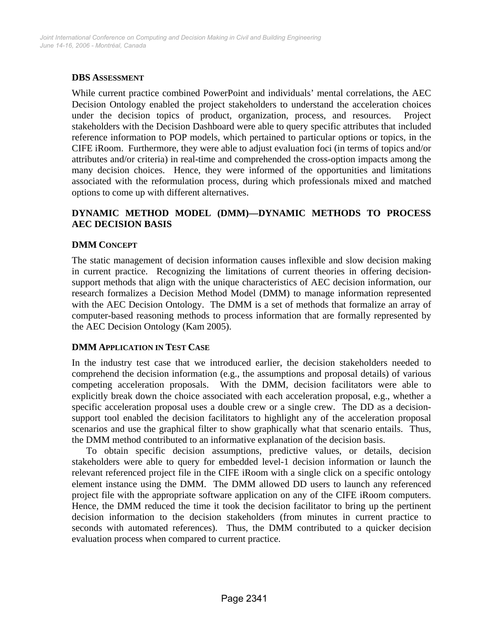## **DBS ASSESSMENT**

While current practice combined PowerPoint and individuals' mental correlations, the AEC Decision Ontology enabled the project stakeholders to understand the acceleration choices under the decision topics of product, organization, process, and resources. Project stakeholders with the Decision Dashboard were able to query specific attributes that included reference information to POP models, which pertained to particular options or topics, in the CIFE iRoom. Furthermore, they were able to adjust evaluation foci (in terms of topics and/or attributes and/or criteria) in real-time and comprehended the cross-option impacts among the many decision choices. Hence, they were informed of the opportunities and limitations associated with the reformulation process, during which professionals mixed and matched options to come up with different alternatives.

# **DYNAMIC METHOD MODEL (DMM)—DYNAMIC METHODS TO PROCESS AEC DECISION BASIS**

## **DMM CONCEPT**

The static management of decision information causes inflexible and slow decision making in current practice. Recognizing the limitations of current theories in offering decisionsupport methods that align with the unique characteristics of AEC decision information, our research formalizes a Decision Method Model (DMM) to manage information represented with the AEC Decision Ontology. The DMM is a set of methods that formalize an array of computer-based reasoning methods to process information that are formally represented by the AEC Decision Ontology (Kam 2005).

### **DMM APPLICATION IN TEST CASE**

In the industry test case that we introduced earlier, the decision stakeholders needed to comprehend the decision information (e.g., the assumptions and proposal details) of various competing acceleration proposals. With the DMM, decision facilitators were able to explicitly break down the choice associated with each acceleration proposal, e.g., whether a specific acceleration proposal uses a double crew or a single crew. The DD as a decisionsupport tool enabled the decision facilitators to highlight any of the acceleration proposal scenarios and use the graphical filter to show graphically what that scenario entails. Thus, the DMM method contributed to an informative explanation of the decision basis.

To obtain specific decision assumptions, predictive values, or details, decision stakeholders were able to query for embedded level-1 decision information or launch the relevant referenced project file in the CIFE iRoom with a single click on a specific ontology element instance using the DMM. The DMM allowed DD users to launch any referenced project file with the appropriate software application on any of the CIFE iRoom computers. Hence, the DMM reduced the time it took the decision facilitator to bring up the pertinent decision information to the decision stakeholders (from minutes in current practice to seconds with automated references). Thus, the DMM contributed to a quicker decision evaluation process when compared to current practice.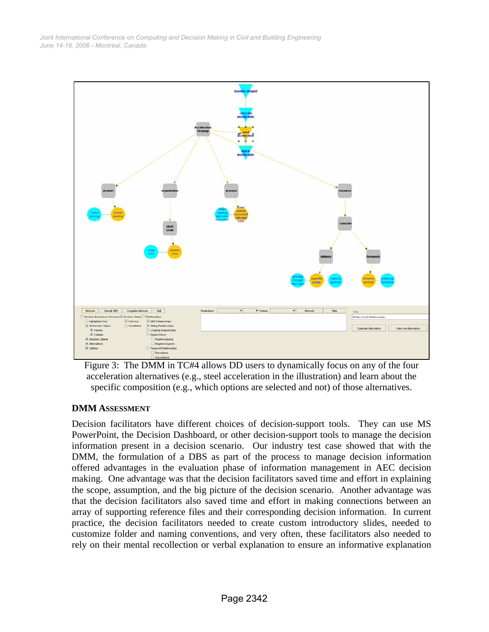

Figure 3: The DMM in TC#4 allows DD users to dynamically focus on any of the four acceleration alternatives (e.g., steel acceleration in the illustration) and learn about the specific composition (e.g., which options are selected and not) of those alternatives.

# **DMM ASSESSMENT**

Decision facilitators have different choices of decision-support tools. They can use MS PowerPoint, the Decision Dashboard, or other decision-support tools to manage the decision information present in a decision scenario. Our industry test case showed that with the DMM, the formulation of a DBS as part of the process to manage decision information offered advantages in the evaluation phase of information management in AEC decision making. One advantage was that the decision facilitators saved time and effort in explaining the scope, assumption, and the big picture of the decision scenario. Another advantage was that the decision facilitators also saved time and effort in making connections between an array of supporting reference files and their corresponding decision information. In current practice, the decision facilitators needed to create custom introductory slides, needed to customize folder and naming conventions, and very often, these facilitators also needed to rely on their mental recollection or verbal explanation to ensure an informative explanation